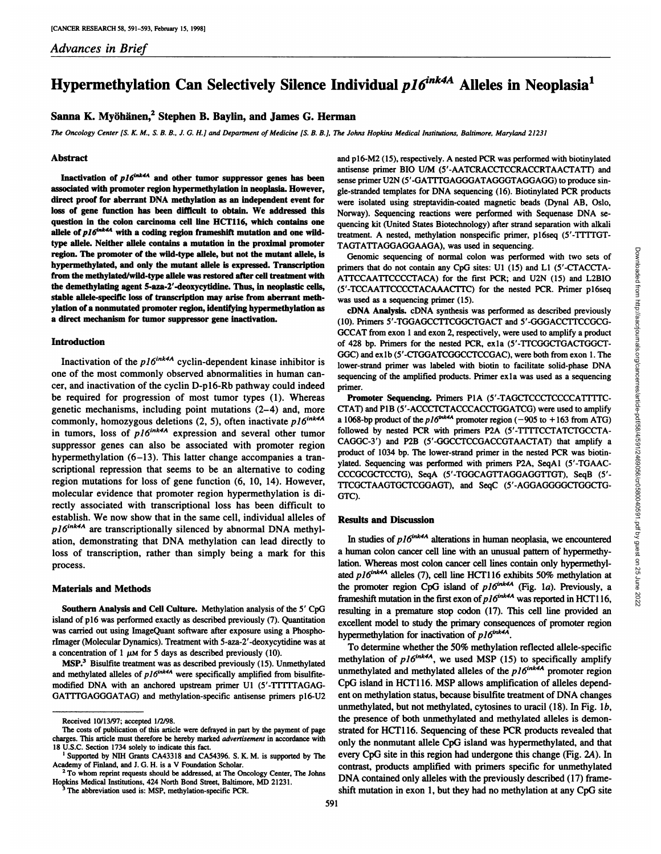# **Hypermethylation Can Selectively Silence Individual**  $p16^{ink4A}$  **Alleles in Neoplasia<sup>1</sup>**

## **Sanna K. Myöhänen,2Stephen B. Baylin, and James G. Herman**

The Oncology Center [S. K. M., S. B. B., J. G. H.] and Department of Medicine [S. B. B.], The Johns Hopkins Medical Institutions, Baltimore, Maryland 21231

#### **Abstract**

Inactivation of  $p16^{ink4A}$  and other tumor suppressor genes has been **associated with promoter region hypermethylation in neoplasia. However, direct proof for aberrant DNA methylation as an independent event for loss of gene function has been difficult to obtain. We addressed this** question in the colon carcinoma cell line HCT116, which contains one allele of  $p16^{ink4A}$  with a coding region frameshift mutation and one wild**type alÃ-ele.Neither alÃ-elecontains a mutation in the proximal promoter region.** The promoter of the wild-type allele, but not the mutant allele, is **hypermethylated, and only the mutant alÃ-eleis expressed. Transcription** from the methylated/wild-type allele was restored after cell treatment with **the demethylating agent 5-aza-2'-deoxycytidine. Thus, in neoplastic cells, stable allele-specific loss of transcription may arise from aberrant meth ylation of a nonmutated promoter region, identifying hypermethylation as a direct mechanism for tumor suppressor gene inactivation.**

#### **Introduction**

Inactivation of the  $p16^{ink4A}$  cyclin-dependent kinase inhibitor is one of the most commonly observed abnormalities in human can cer, and inactivation of the cyclin D-pl6-Rb pathway could indeed be required for progression of most tumor types (1). Whereas genetic mechanisms, including point mutations (2-4) and, more commonly, homozygous deletions (2, 5), often inactivate  $p16^{ink4A}$ in tumors, loss of  $p16^{ink4A}$  expression and several other tumor suppressor genes can also be associated with promoter region hypermethylation (6-13). This latter change accompanies a transcriptional repression that seems to be an alternative to coding region mutations for loss of gene function (6, 10, 14). However, molecular evidence that promoter region hypermethylation is di rectly associated with transcriptional loss has been difficult to establish. We now show that in the same cell, individual alleles of *pl6mk4A are transcriptionally silenced by abnormal DNA methyl* ation, demonstrating that DNA methylation can lead directly to loss of transcription, rather than simply being a mark for this process.

#### **Materials and Methods**

**Southern Analysis and Cell Culture. Methylation analysis of the 5' CpG** island of pl6 was performed exactly as described previously (7). Quantitation was carried out using ImageQuant software after exposure using a Phosphorlmager (Molecular Dynamics). Treatment with 5-aza-2'-deoxycytidine was at a concentration of 1  $\mu$ M for 5 days as described previously (10).

**MSP.3 Bisulfite treatment was as described previously (15). Unmethylated** and methylated alleles of  $p16^{ink4A}$  were specifically amplified from bisulfitemodified DNA with an anchored upstream primer Ul (5'-TTTTTAGAG-GATTTGAGGGATAG) and methylation-specific antisense primers p16-U2 and p16-M2 (15), respectively. A nested PCR was performed with biotinylated antisense primer BIO U/M (5'-AATCRACCTCCRACCRTAACTATT) and sense primer U2N (5'-GATTTGAGGGATAGGGTAGGAGG) to produce sin gle-stranded templates for DNA sequencing (16). Biotinylated PCR products were isolated using streptavidin-coated magnetic beads (Dynal AB, Oslo, Norway). Sequencing reactions were performed with Sequenase DNA se quencing kit (United States Biotechnology) after strand separation with alkali treatment. A nested, methylation nonspecific primer, p16seq (5'-TTTTGT-TAGTATTAGGAGGAAGA), was used in sequencing.

Genomic sequencing of normal colon was performed with two sets of primers that do not contain any CpG sites: Ul (15) and LI (5'-CTACCTA-(5'-TCCAATTCCCCTACAAACTTC) for the nested PCR. Primer ploseq was used as a sequencing primer (15).

**cDNA Analysis. cDNA synthesis was performed as described previously** (10). Primers 5'-TGGAGCCTTCGGCTGACT and 5'-GGGACCTTCCGCG-GCCAT from exon 1 and exon 2, respectively, were used to amplify a product of 428 bp. Primers for the nested PCR, exla (5'-TTCGGCTGACTGGCT-GGC) and exlb (5'-CTGGATCGGCCTCCGAC), were both from exon 1. The lower-strand primer was labeled with biotin to facilitate solid-phase DNA sequencing of the amplified products. Primer ex 1a was used as a sequencing

CHORIM THE CALCORIDAT THE CALCORIDAT CONTINUES (SEE 1015). The distribution of CONDITION and LCB (STACCTAATTCCCTACA) for the first PCR; and U2N (15) and LCBIO (S'-TTCCAATTCCCTACA) for the first PCR; and U2N (15) and LCBIO **Promoter Sequencing.** Primers P1A (5'-TAGCTCCCTCCCCATTTTC-CTAT) and P1B (5'-ACCCTCTACCCACCTGGATCG) were used to amplify a 1068-bp product of the  $pl6^{ink4A}$  promoter region (-905 to +163 from ATG) followed by nested PCR with primers P2A (S'-TTTTCCTATCTGCCTA-CAGGC-3') and P2B (5'-GGCCTCCGACCGTAACTAT) that amplify a product of 1034 bp. The lower-strand primer in the nested PCR was biotin ylated. Sequencing was performed with primers P2A, SeqAl (5'-TGAAC-CCCGCGCTCCTG), SeqA (5'-TGGCAGTTAGGAGGTTGT), SeqB (5'- TTCGCTAAGTGCTCGGAGT), and SeqC (5'-AGGAGGGGCTGGCTG-GTC).

#### **Results and Discussion**

In studies of  $p16^{ink4A}$  alterations in human neoplasia, we encountered a human colon cancer cell line with an unusual pattern of hypermethylation. Whereas most colon cancer cell lines contain only hypermethylated  $p16^{ink4A}$  alleles (7), cell line HCT116 exhibits 50% methylation at the promoter region CpG island of  $p16^{ink4A}$  (Fig. 1a). Previously, a frameshift mutation in the first exon of  $p16^{ink4A}$  was reported in HCT116, resulting in a premature stop codon (17). This cell line provided an excellent model to study the primary consequences of promoter region hypermethylation for inactivation of  $p16^{ink4A}$ .

To determine whether the 50% methylation reflected allele-specific methylation of  $p16^{ink4A}$ , we used MSP (15) to specifically amplify unmethylated and methylated alleles of the  $p16^{ink4A}$  promoter region CpG island in HCT116. MSP allows amplification of alleles dependent on methylation status, because bisulfite treatment of DNA changes unmethylated, but not methylated, cytosines to uracil  $(18)$ . In Fig. 1b, the presence of both unmethylated and methylated alleles is demonstrated for HCT116. Sequencing of these PCR products revealed that only the nonmutant allele CpG island was hypermethylated, and that every CpG site in this region had undergone this change (Fig. 2A). In contrast, products amplified with primers specific for unmethylated DNA contained only alleles with the previously described (17) frameshift mutation in exon 1, but they had no methylation at any CpG site

Received 10/13/97; accepted 1/2/98.

The costs of publication of this article were defrayed in part by the payment of page charges. This article must therefore be hereby marked advertisement in accordance with

<sup>18</sup> U.S.C. Section 1734 solely to indicate this fact.<br><sup>1</sup> Supported by NIH Grants CA43318 and CA54396. S. K. M. is supported by The Academy of Finland, and J. G. H. is a V Foundation Scholar.<br><sup>2</sup> To whom reprint requests should be addressed, at The Oncology Center, The Johns

Hopkins Medical Institutions, 424 North Bond Street, Baltimore, MD 21231.

The abbreviation used is: MSP, methylation-specific PCR.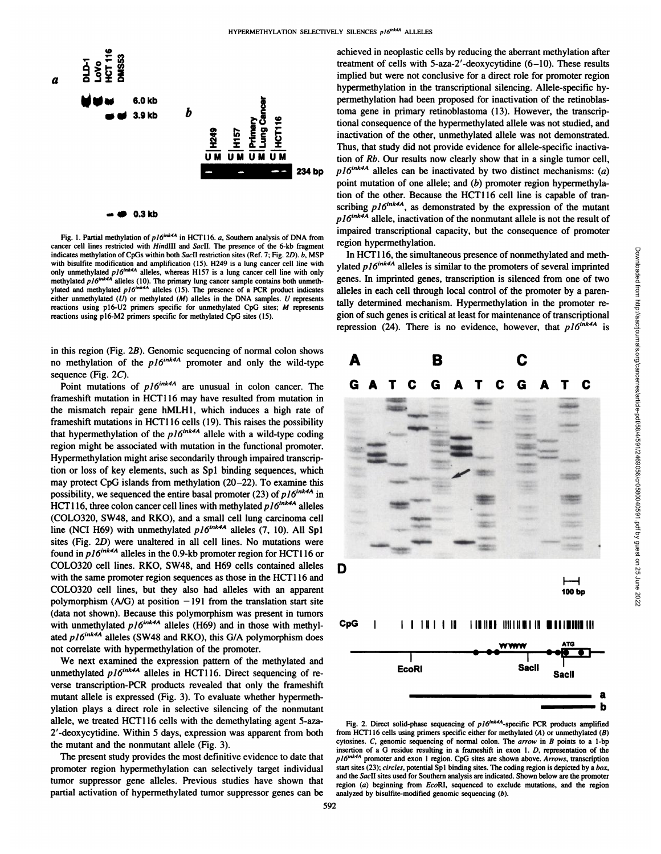

Fig. 1. Partial methylation of  $p16^{ink4A}$  in HCT116. a, Southern analysis of DNA from cancer cell lines restricted with HindIII and SacII. The presence of the 6-kb fragment indicates methylation of CpGs within both SacII restriction sites (Ref. 7; Fig. 2D). b, MSP with bisulfite modification and amplification (15). H249 is a lung cancer cell line with yla<br>only unmethylated *n16<sup>ink4A</sup>* alleles, whereas H157 is a lung cancer cell line with only methylated  $p\left|\delta^{ink4A}\right|$  alleles (10). The primary lung cancer sample contains both unmeth.  $20$ ylated and methylated  $pI6^{ink4A}$  alleles (15). The presence of a PCR product indicates and either unmethylated  $(U)$  or methylated  $(M)$  alleles in the DNA samples.  $U$  represents reactions using p16-U2 primers specific for unmethylated CpG sites; M represents<br>reactions using p16-M2 primers specific for methylated CpG sites (15). gion of such genes is critical at least for maintenance of transcripti reactions using pl6-M2 primers specific for methylated CpG sites (15).

in this region (Fig. 2B). Genomic sequencing of normal colon shows no methylation of the  $p16^{ink4A}$  promoter and only the wild-type

sequence (Fig. 2C).<br>
Point mutations of  $p16^{ink4A}$  are unusual in colon cancer. The G frameshift mutation in HCT116 may have resulted from mutation in the mismatch repair gene hMLHl, which induces a high rate of frameshift mutations in HCT116 cells (19). This raises the possibility that hypermethylation of the  $p16^{ink4A}$  allele with a wild-type coding region might be associated with mutation in the functional promoter. Hypermethylation might arise secondarily through impaired transcrip tion or loss of key elements, such as Spl binding sequences, which may protect CpG islands from methylation (20-22). To examine this possibility, we sequenced the entire basal promoter (23) of  $p16^{ink4A}$  in HCT116, three colon cancer cell lines with methylated  $p16^{ink4A}$  alleles (COLO320, SW48, and RKO), and a small cell lung carcinoma cell line (NCI H69) with unmethylated  $p16^{ink4A}$  alleles (7, 10). All Spl sites (Fig. 2D) were unaltered in all cell lines. No mutations were found in  $p16^{ink4A}$  alleles in the 0.9-kb promoter region for HCT116 or COLO320 cell lines. RKO, SW48, and H69 cells contained alleles  $\Box$ with the same promoter region sequences as those in the HCT116 and COLO320 cell lines, but they also had alleles with an apparent polymorphism  $(A/G)$  at position  $-191$  from the translation start site (data not shown). Because this polymorphism was present in tumors with unmethylated  $p16^{ink4A}$  alleles (H69) and in those with methylated  $p16^{ink4A}$  alleles (SW48 and RKO), this G/A polymorphism does not correlate with hypermethylation of the promoter.

We next examined the expression pattern of the methylated and unmethylated  $p16^{ink4A}$  alleles in HCT116. Direct sequencing of reverse transcription-PCR products revealed that only the frameshift mutant allele is expressed (Fig. 3). To evaluate whether hypermethylation plays a direct role in selective silencing of the nonmutant allele, we treated HCT116 cells with the demethylating agent 5-aza-2'-deoxycytidine. Within 5 days, expression was apparent from both the mutant and the nonmutant allele (Fig. 3).

The present study provides the most definitive evidence to date that  $n16^{\circ}$ promoter region hypermethylation can selectively target individual tumor suppressor gene alleles. Previous studies have shown that partial activation of hypermethylated tumor suppressor genes can be

achieved in neoplastic cells by reducing the aberrant methylation after treatment of cells with 5-aza-2'-deoxycytidine (6-10). These results implied but were not conclusive for a direct role for promoter region hypermethylation in the transcriptional silencing. Allele-specific hypermethylation had been proposed for inactivation of the retinoblastoma gene in primary retinoblastoma (13). However, the transcrip tional consequence of the hypermethylated allele was not studied, and inactivation of the other, unmethylated allele was not demonstrated. Thus, that study did not provide evidence for allele-specific inactiva tion of Rb. Our results now clearly show that in a single tumor cell,  $p16^{ink4A}$  alleles can be inactivated by two distinct mechanisms: (a) point mutation of one allele; and  $(b)$  promoter region hypermethylation of the other. Because the HCT116 cell line is capable of tran scribing  $p16^{ink4A}$ , as demonstrated by the expression of the mutant *p16*<sup> $ink4A$ </sup> allele, inactivation of the nonmutant allele is not the result of impaired transcriptional capacity, but the consequence of promoter region hypermethylation.

ylated  $p16^{ink4A}$  alleles is similar to the promoters of several imprinted genes. In imprinted genes, transcription is silenced from one of two alleles in each cell through local control of the promoter by a parentally determined mechanism. Hypermethylation in the promoter re repression (24). There is no evidence, however, that  $p16^{ink4A}$  is



Fig. 2. Direct solid-phase sequencing of  $p16^{ink4A}$ -specific PCR products amplified from HCT116 cells using primers specific either for methylated  $(A)$  or unmethylated  $(B)$ cytosines.  $C$ , genomic sequencing of normal colon. The arrow in  $B$  points to a 1-bp insertion of a G residue resulting in a frameshift in exon 1. D, representation of the *pl6tnk4A promoter and exon 1 region. CpG sites are shown above. Arrows, transcription* start sites (23); circles, potential Sp1 binding sites. The coding region is depicted by a box, and the Sacll sites used for Southern analysis are indicated. Shown below are the promoter region (a) beginning from EcoRI, sequenced to exclude mutations, and the region analyzed by bisulfite-modified genomic sequencing  $(b)$ .